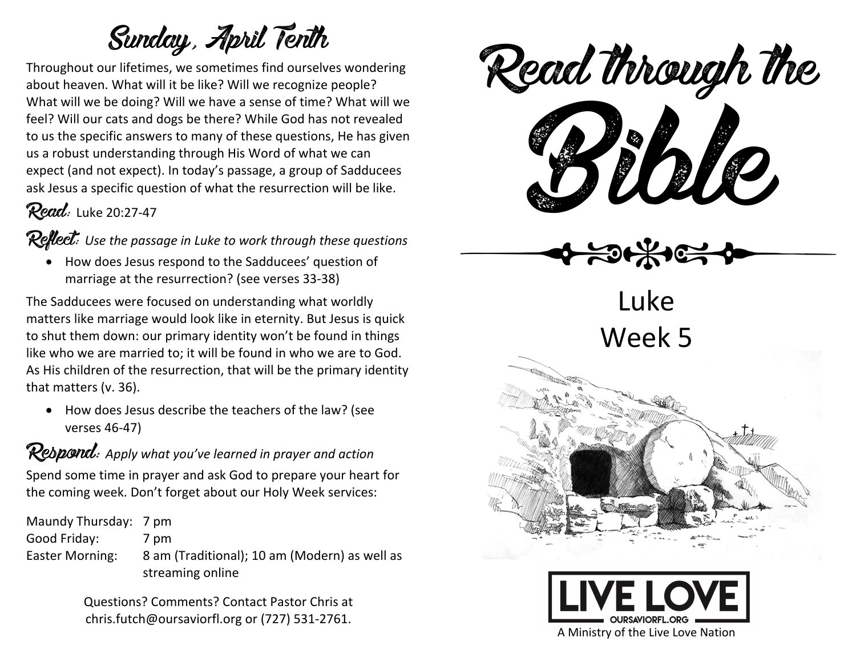## Sunday, April Tenth

Throughout our lifetimes, we sometimes find ourselves wondering about heaven. What will it be like? Will we recognize people? What will we be doing? Will we have a sense of time? What will we feel? Will our cats and dogs be there? While God has not revealed to us the specific answers to many of these questions, He has given us a robust understanding through His Word of what we can expect (and not expect). In today's passage, a group of Sadducees ask Jesus a specific question of what the resurrection will be like.

### Read: Luke 20:27-47

Reflect: *Use the passage in Luke to work through these questions*

• How does Jesus respond to the Sadducees' question of marriage at the resurrection? (see verses 33-38)

The Sadducees were focused on understanding what worldly matters like marriage would look like in eternity. But Jesus is quick to shut them down: our primary identity won't be found in things like who we are married to; it will be found in who we are to God. As His children of the resurrection, that will be the primary identity that matters (v. 36).

• How does Jesus describe the teachers of the law? (see verses 46-47)

## Respond: *Apply what you've learned in prayer and action*

Spend some time in prayer and ask God to prepare your heart for the coming week. Don't forget about our Holy Week services:

Maundy Thursday: 7 pm Good Friday: 7 pm Easter Morning: 8 am (Traditional); 10 am (Modern) as well as streaming online

> Questions? Comments? Contact Pastor Chris at chris.futch@oursaviorfl.org or (727) 531-2761.



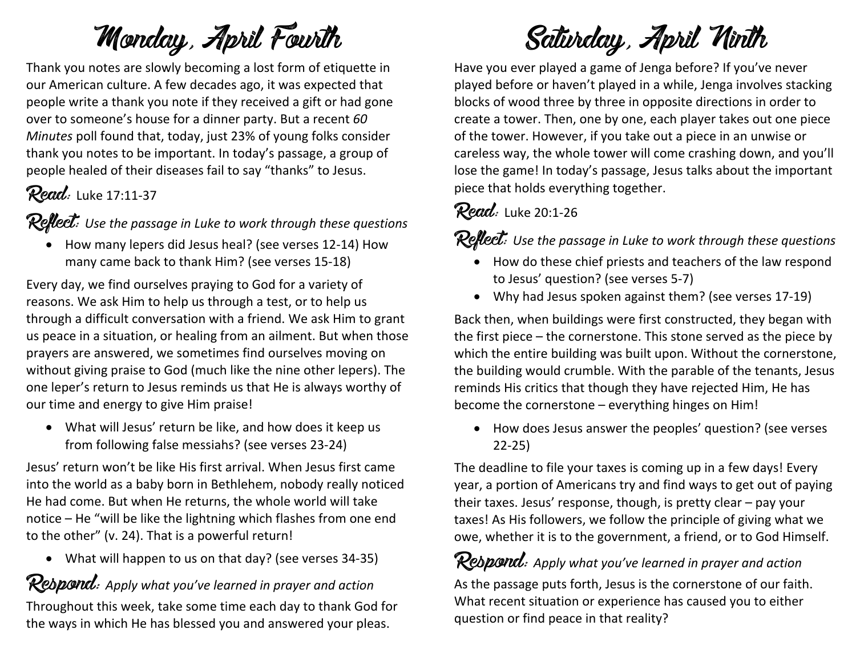## Monday, April Fourth

Thank you notes are slowly becoming a lost form of etiquette in our American culture. A few decades ago, it was expected that people write a thank you note if they received a gift or had gone over to someone's house for a dinner party. But a recent *60 Minutes* poll found that, today, just 23% of young folks consider thank you notes to be important. In today's passage, a group of people healed of their diseases fail to say "thanks" to Jesus.

## Read: Luke 17:11-37

Reflect: *Use the passage in Luke to work through these questions*

• How many lepers did Jesus heal? (see verses 12-14) How many came back to thank Him? (see verses 15-18)

Every day, we find ourselves praying to God for a variety of reasons. We ask Him to help us through a test, or to help us through a difficult conversation with a friend. We ask Him to grant us peace in a situation, or healing from an ailment. But when those prayers are answered, we sometimes find ourselves moving on without giving praise to God (much like the nine other lepers). The one leper's return to Jesus reminds us that He is always worthy of our time and energy to give Him praise!

• What will Jesus' return be like, and how does it keep us from following false messiahs? (see verses 23-24)

Jesus' return won't be like His first arrival. When Jesus first came into the world as a baby born in Bethlehem, nobody really noticed He had come. But when He returns, the whole world will take notice – He "will be like the lightning which flashes from one end to the other" (v. 24). That is a powerful return!

• What will happen to us on that day? (see verses 34-35)

Rebpond: Apply what you've learned in prayer and action

Throughout this week, take some time each day to thank God for the ways in which He has blessed you and answered your pleas.

Saturday, April Ninth

Have you ever played a game of Jenga before? If you've never played before or haven't played in a while, Jenga involves stacking blocks of wood three by three in opposite directions in order to create a tower. Then, one by one, each player takes out one piece of the tower. However, if you take out a piece in an unwise or careless way, the whole tower will come crashing down, and you'll lose the game! In today's passage, Jesus talks about the important piece that holds everything together.

#### Read: Luke 20:1-26

Reflect: *Use the passage in Luke to work through these questions*

- How do these chief priests and teachers of the law respond to Jesus' question? (see verses 5-7)
- Why had Jesus spoken against them? (see verses 17-19)

Back then, when buildings were first constructed, they began with the first piece – the cornerstone. This stone served as the piece by which the entire building was built upon. Without the cornerstone, the building would crumble. With the parable of the tenants, Jesus reminds His critics that though they have rejected Him, He has become the cornerstone – everything hinges on Him!

• How does Jesus answer the peoples' question? (see verses 22-25)

The deadline to file your taxes is coming up in a few days! Every year, a portion of Americans try and find ways to get out of paying their taxes. Jesus' response, though, is pretty clear – pay your taxes! As His followers, we follow the principle of giving what we owe, whether it is to the government, a friend, or to God Himself.

Respond: *Apply what you've learned in prayer and action* As the passage puts forth, Jesus is the cornerstone of our faith. What recent situation or experience has caused you to either question or find peace in that reality?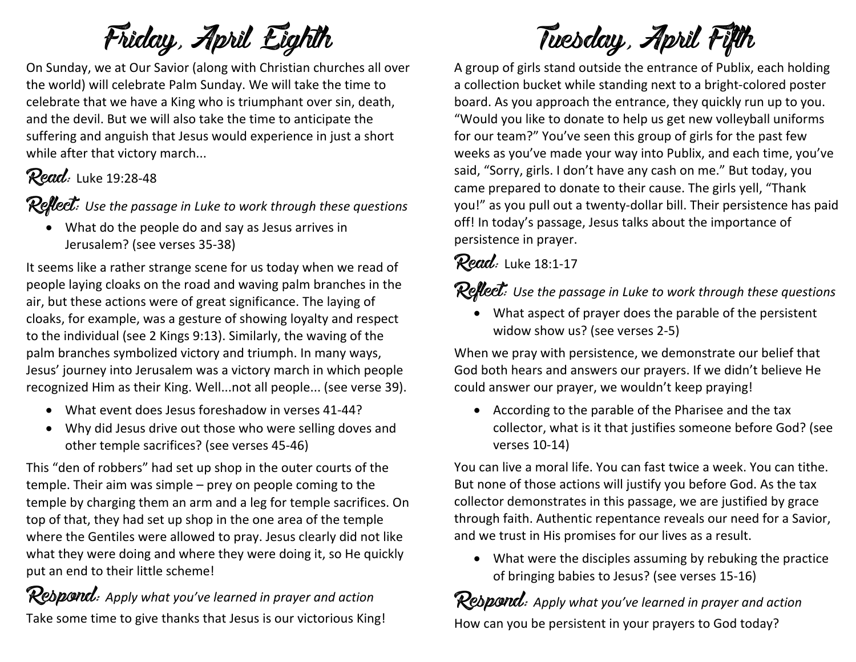# Friday, April Eighth

On Sunday, we at Our Savior (along with Christian churches all over the world) will celebrate Palm Sunday. We will take the time to celebrate that we have a King who is triumphant over sin, death, and the devil. But we will also take the time to anticipate the suffering and anguish that Jesus would experience in just a short while after that victory march...

## **Read:** Luke 19:28-48

Reflect: *Use the passage in Luke to work through these questions*

• What do the people do and say as Jesus arrives in Jerusalem? (see verses 35-38)

It seems like a rather strange scene for us today when we read of people laying cloaks on the road and waving palm branches in the air, but these actions were of great significance. The laying of cloaks, for example, was a gesture of showing loyalty and respect to the individual (see 2 Kings 9:13). Similarly, the waving of the palm branches symbolized victory and triumph. In many ways, Jesus' journey into Jerusalem was a victory march in which people recognized Him as their King. Well...not all people... (see verse 39).

- What event does Jesus foreshadow in verses 41-44?
- Why did Jesus drive out those who were selling doves and other temple sacrifices? (see verses 45-46)

This "den of robbers" had set up shop in the outer courts of the temple. Their aim was simple – prey on people coming to the temple by charging them an arm and a leg for temple sacrifices. On top of that, they had set up shop in the one area of the temple where the Gentiles were allowed to pray. Jesus clearly did not like what they were doing and where they were doing it, so He quickly put an end to their little scheme!

**Respond:** Apply what you've learned in prayer and action Take some time to give thanks that Jesus is our victorious King!

# Tuesday, April Fifth

A group of girls stand outside the entrance of Publix, each holding a collection bucket while standing next to a bright-colored poster board. As you approach the entrance, they quickly run up to you. "Would you like to donate to help us get new volleyball uniforms for our team?" You've seen this group of girls for the past few weeks as you've made your way into Publix, and each time, you've said, "Sorry, girls. I don't have any cash on me." But today, you came prepared to donate to their cause. The girls yell, "Thank you!" as you pull out a twenty-dollar bill. Their persistence has paid off! In today's passage, Jesus talks about the importance of persistence in prayer.

## Read: Luke 18:1-17

### Reflect: *Use the passage in Luke to work through these questions*

• What aspect of prayer does the parable of the persistent widow show us? (see verses 2-5)

When we pray with persistence, we demonstrate our belief that God both hears and answers our prayers. If we didn't believe He could answer our prayer, we wouldn't keep praying!

• According to the parable of the Pharisee and the tax collector, what is it that justifies someone before God? (see verses 10-14)

You can live a moral life. You can fast twice a week. You can tithe. But none of those actions will justify you before God. As the tax collector demonstrates in this passage, we are justified by grace through faith. Authentic repentance reveals our need for a Savior, and we trust in His promises for our lives as a result.

• What were the disciples assuming by rebuking the practice of bringing babies to Jesus? (see verses 15-16)

Respond: *Apply what you've learned in prayer and action* How can you be persistent in your prayers to God today?